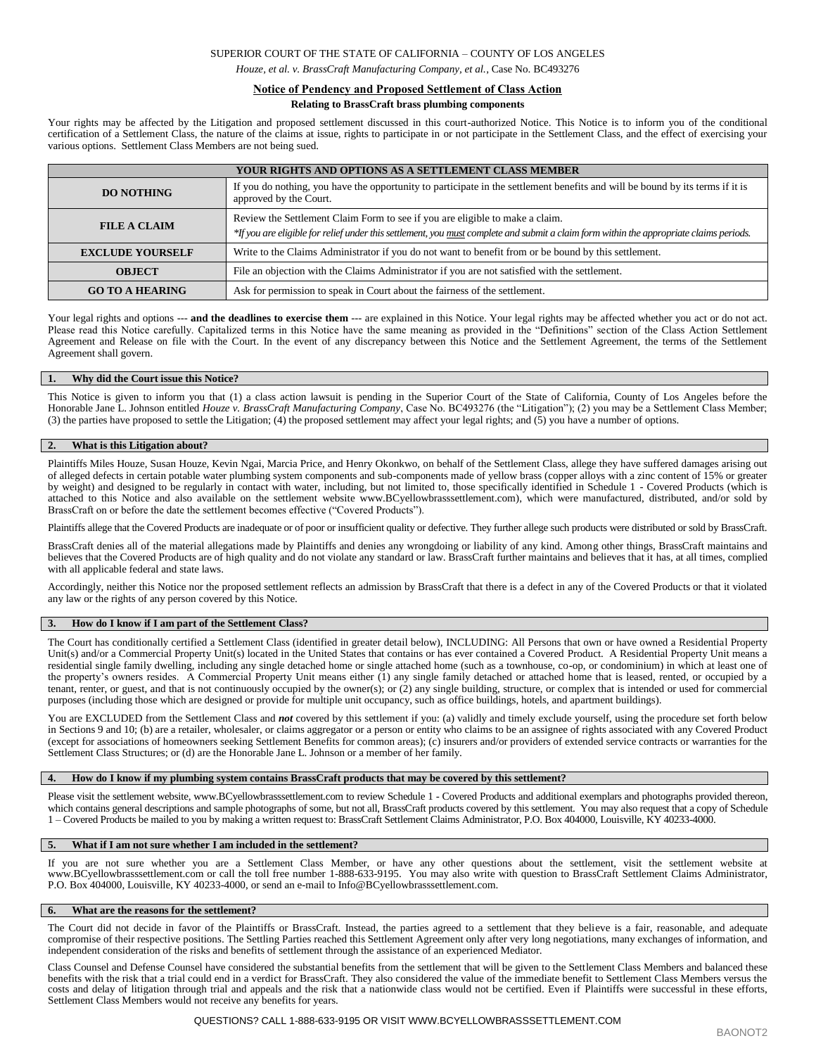## SUPERIOR COURT OF THE STATE OF CALIFORNIA – COUNTY OF LOS ANGELES

*Houze, et al. v. BrassCraft Manufacturing Company, et al.*, Case No. BC493276

# **Notice of Pendency and Proposed Settlement of Class Action**

## **Relating to BrassCraft brass plumbing components**

Your rights may be affected by the Litigation and proposed settlement discussed in this court-authorized Notice. This Notice is to inform you of the conditional certification of a Settlement Class, the nature of the claims at issue, rights to participate in or not participate in the Settlement Class, and the effect of exercising your various options. Settlement Class Members are not being sued.

| <b>YOUR RIGHTS AND OPTIONS AS A SETTLEMENT CLASS MEMBER</b> |                                                                                                                                                                                                                         |
|-------------------------------------------------------------|-------------------------------------------------------------------------------------------------------------------------------------------------------------------------------------------------------------------------|
| <b>DO NOTHING</b>                                           | If you do nothing, you have the opportunity to participate in the settlement benefits and will be bound by its terms if it is<br>approved by the Court.                                                                 |
| <b>FILE A CLAIM</b>                                         | Review the Settlement Claim Form to see if you are eligible to make a claim.<br>*If you are eligible for relief under this settlement, you must complete and submit a claim form within the appropriate claims periods. |
| <b>EXCLUDE YOURSELF</b>                                     | Write to the Claims Administrator if you do not want to benefit from or be bound by this settlement.                                                                                                                    |
| <b>OBJECT</b>                                               | File an objection with the Claims Administrator if you are not satisfied with the settlement.                                                                                                                           |
| <b>GO TO A HEARING</b>                                      | Ask for permission to speak in Court about the fairness of the settlement.                                                                                                                                              |

Your legal rights and options --- **and the deadlines to exercise them** --- are explained in this Notice. Your legal rights may be affected whether you act or do not act. Please read this Notice carefully. Capitalized terms in this Notice have the same meaning as provided in the "Definitions" section of the Class Action Settlement Agreement and Release on file with the Court. In the event of any discrepancy between this Notice and the Settlement Agreement, the terms of the Settlement Agreement shall govern.

#### **1. Why did the Court issue this Notice?**

This Notice is given to inform you that (1) a class action lawsuit is pending in the Superior Court of the State of California, County of Los Angeles before the Honorable Jane L. Johnson entitled *Houze v. BrassCraft Manufacturing Company*, Case No. BC493276 (the "Litigation"); (2) you may be a Settlement Class Member; (3) the parties have proposed to settle the Litigation; (4) the proposed settlement may affect your legal rights; and (5) you have a number of options.

## **2. What is this Litigation about?**

Plaintiffs Miles Houze, Susan Houze, Kevin Ngai, Marcia Price, and Henry Okonkwo, on behalf of the Settlement Class, allege they have suffered damages arising out of alleged defects in certain potable water plumbing system components and sub-components made of yellow brass (copper alloys with a zinc content of 15% or greater by weight) and designed to be regularly in contact with water, including, but not limited to, those specifically identified in Schedule 1 - Covered Products (which is attached to this Notice and also available on the settlement website www.BCyellowbrasssettlement.com), which were manufactured, distributed, and/or sold by BrassCraft on or before the date the settlement becomes effective ("Covered Products").

Plaintiffs allege that the Covered Products are inadequate or of poor or insufficient quality or defective. They further allege such products were distributed or sold by BrassCraft.

BrassCraft denies all of the material allegations made by Plaintiffs and denies any wrongdoing or liability of any kind. Among other things, BrassCraft maintains and believes that the Covered Products are of high quality and do not violate any standard or law. BrassCraft further maintains and believes that it has, at all times, complied with all applicable federal and state laws.

Accordingly, neither this Notice nor the proposed settlement reflects an admission by BrassCraft that there is a defect in any of the Covered Products or that it violated any law or the rights of any person covered by this Notice.

## **3. How do I know if I am part of the Settlement Class?**

The Court has conditionally certified a Settlement Class (identified in greater detail below), INCLUDING: All Persons that own or have owned a Residential Property Unit(s) and/or a Commercial Property Unit(s) located in the United States that contains or has ever contained a Covered Product. A Residential Property Unit means a residential single family dwelling, including any single detached home or single attached home (such as a townhouse, co-op, or condominium) in which at least one of the property's owners resides. A Commercial Property Unit means either (1) any single family detached or attached home that is leased, rented, or occupied by a tenant, renter, or guest, and that is not continuously occupied by the owner(s); or (2) any single building, structure, or complex that is intended or used for commercial purposes (including those which are designed or provide for multiple unit occupancy, such as office buildings, hotels, and apartment buildings).

You are EXCLUDED from the Settlement Class and *not* covered by this settlement if you: (a) validly and timely exclude yourself, using the procedure set forth below in Sections 9 and 10; (b) are a retailer, wholesaler, or claims aggregator or a person or entity who claims to be an assignee of rights associated with any Covered Product (except for associations of homeowners seeking Settlement Benefits for common areas); (c) insurers and/or providers of extended service contracts or warranties for the Settlement Class Structures; or (d) are the Honorable Jane L. Johnson or a member of her family.

## **4. How do I know if my plumbing system contains BrassCraft products that may be covered by this settlement?**

Please visit the settlement website, www.BCyellowbrasssettlement.com to review Schedule 1 - Covered Products and additional exemplars and photographs provided thereon, which contains general descriptions and sample photographs of some, but not all, BrassCraft products covered by this settlement. You may also request that a copy of Schedule 1 – Covered Products be mailed to you by making a written request to: BrassCraft Settlement Claims Administrator, P.O. Box 404000, Louisville, KY 40233-4000.

#### **5. What if I am not sure whether I am included in the settlement?**

If you are not sure whether you are a Settlement Class Member, or have any other questions about the settlement, visit the settlement website at www.BCyellowbrasssettlement.com or call the toll free number 1-888-633-9195. You may also write with question to BrassCraft Settlement Claims Administrator, P.O. Box 404000, Louisville, KY 40233-4000, or send an e-mail to Info@BCyellowbrasssettlement.com.

#### **6. What are the reasons for the settlement?**

The Court did not decide in favor of the Plaintiffs or BrassCraft. Instead, the parties agreed to a settlement that they believe is a fair, reasonable, and adequate compromise of their respective positions. The Settling Parties reached this Settlement Agreement only after very long negotiations, many exchanges of information, and independent consideration of the risks and benefits of settlement through the assistance of an experienced Mediator.

Class Counsel and Defense Counsel have considered the substantial benefits from the settlement that will be given to the Settlement Class Members and balanced these benefits with the risk that a trial could end in a verdict for BrassCraft. They also considered the value of the immediate benefit to Settlement Class Members versus the costs and delay of litigation through trial and appeals and the risk that a nationwide class would not be certified. Even if Plaintiffs were successful in these efforts, Settlement Class Members would not receive any benefits for years.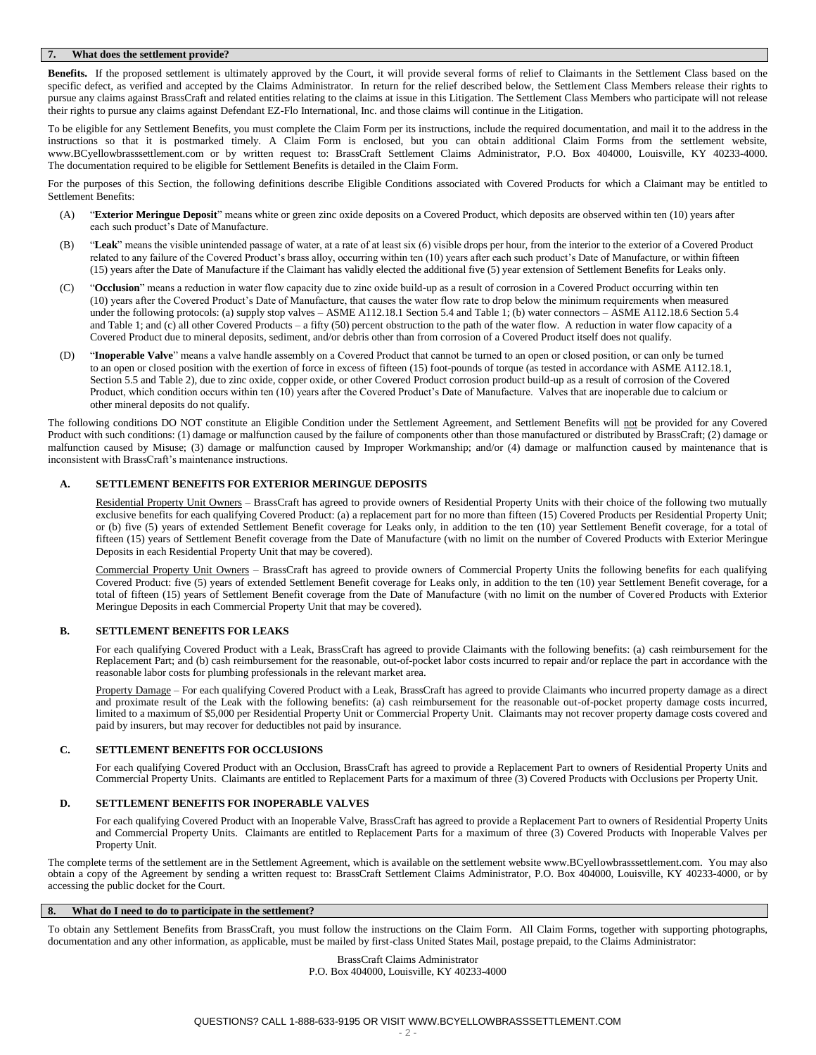## **7. What does the settlement provide?**

**Benefits.** If the proposed settlement is ultimately approved by the Court, it will provide several forms of relief to Claimants in the Settlement Class based on the specific defect, as verified and accepted by the Claims Administrator. In return for the relief described below, the Settlement Class Members release their rights to pursue any claims against BrassCraft and related entities relating to the claims at issue in this Litigation. The Settlement Class Members who participate will not release their rights to pursue any claims against Defendant EZ-Flo International, Inc. and those claims will continue in the Litigation.

To be eligible for any Settlement Benefits, you must complete the Claim Form per its instructions, include the required documentation, and mail it to the address in the instructions so that it is postmarked timely. A Claim Form is enclosed, but you can obtain additional Claim Forms from the settlement website, www.BCyellowbrasssettlement.com or by written request to: BrassCraft Settlement Claims Administrator, P.O. Box 404000, Louisville, KY 40233-4000. The documentation required to be eligible for Settlement Benefits is detailed in the Claim Form.

For the purposes of this Section, the following definitions describe Eligible Conditions associated with Covered Products for which a Claimant may be entitled to Settlement Benefits:

- (A) "**Exterior Meringue Deposit**" means white or green zinc oxide deposits on a Covered Product, which deposits are observed within ten (10) years after each such product's Date of Manufacture.
- (B) "**Leak**" means the visible unintended passage of water, at a rate of at least six (6) visible drops per hour, from the interior to the exterior of a Covered Product related to any failure of the Covered Product's brass alloy, occurring within ten (10) years after each such product's Date of Manufacture, or within fifteen (15) years after the Date of Manufacture if the Claimant has validly elected the additional five (5) year extension of Settlement Benefits for Leaks only.
- (C) "**Occlusion**" means a reduction in water flow capacity due to zinc oxide build-up as a result of corrosion in a Covered Product occurring within ten (10) years after the Covered Product's Date of Manufacture, that causes the water flow rate to drop below the minimum requirements when measured under the following protocols: (a) supply stop valves – ASME A112.18.1 Section 5.4 and Table 1; (b) water connectors – ASME A112.18.6 Section 5.4 and Table 1; and (c) all other Covered Products – a fifty (50) percent obstruction to the path of the water flow. A reduction in water flow capacity of a Covered Product due to mineral deposits, sediment, and/or debris other than from corrosion of a Covered Product itself does not qualify.
- (D) "**Inoperable Valve**" means a valve handle assembly on a Covered Product that cannot be turned to an open or closed position, or can only be turned to an open or closed position with the exertion of force in excess of fifteen (15) foot-pounds of torque (as tested in accordance with ASME A112.18.1, Section 5.5 and Table 2), due to zinc oxide, copper oxide, or other Covered Product corrosion product build-up as a result of corrosion of the Covered Product, which condition occurs within ten (10) years after the Covered Product's Date of Manufacture. Valves that are inoperable due to calcium or other mineral deposits do not qualify.

The following conditions DO NOT constitute an Eligible Condition under the Settlement Agreement, and Settlement Benefits will not be provided for any Covered Product with such conditions: (1) damage or malfunction caused by the failure of components other than those manufactured or distributed by BrassCraft; (2) damage or malfunction caused by Misuse; (3) damage or malfunction caused by Improper Workmanship; and/or (4) damage or malfunction caused by maintenance that is inconsistent with BrassCraft's maintenance instructions.

## **A. SETTLEMENT BENEFITS FOR EXTERIOR MERINGUE DEPOSITS**

Residential Property Unit Owners – BrassCraft has agreed to provide owners of Residential Property Units with their choice of the following two mutually exclusive benefits for each qualifying Covered Product: (a) a replacement part for no more than fifteen (15) Covered Products per Residential Property Unit; or (b) five (5) years of extended Settlement Benefit coverage for Leaks only, in addition to the ten (10) year Settlement Benefit coverage, for a total of fifteen (15) years of Settlement Benefit coverage from the Date of Manufacture (with no limit on the number of Covered Products with Exterior Meringue Deposits in each Residential Property Unit that may be covered).

Commercial Property Unit Owners – BrassCraft has agreed to provide owners of Commercial Property Units the following benefits for each qualifying Covered Product: five (5) years of extended Settlement Benefit coverage for Leaks only, in addition to the ten (10) year Settlement Benefit coverage, for a total of fifteen (15) years of Settlement Benefit coverage from the Date of Manufacture (with no limit on the number of Covered Products with Exterior Meringue Deposits in each Commercial Property Unit that may be covered).

## **B. SETTLEMENT BENEFITS FOR LEAKS**

For each qualifying Covered Product with a Leak, BrassCraft has agreed to provide Claimants with the following benefits: (a) cash reimbursement for the Replacement Part; and (b) cash reimbursement for the reasonable, out-of-pocket labor costs incurred to repair and/or replace the part in accordance with the reasonable labor costs for plumbing professionals in the relevant market area.

Property Damage – For each qualifying Covered Product with a Leak, BrassCraft has agreed to provide Claimants who incurred property damage as a direct and proximate result of the Leak with the following benefits: (a) cash reimbursement for the reasonable out-of-pocket property damage costs incurred, limited to a maximum of \$5,000 per Residential Property Unit or Commercial Property Unit. Claimants may not recover property damage costs covered and paid by insurers, but may recover for deductibles not paid by insurance.

## **C. SETTLEMENT BENEFITS FOR OCCLUSIONS**

For each qualifying Covered Product with an Occlusion, BrassCraft has agreed to provide a Replacement Part to owners of Residential Property Units and Commercial Property Units. Claimants are entitled to Replacement Parts for a maximum of three (3) Covered Products with Occlusions per Property Unit.

## **D. SETTLEMENT BENEFITS FOR INOPERABLE VALVES**

For each qualifying Covered Product with an Inoperable Valve, BrassCraft has agreed to provide a Replacement Part to owners of Residential Property Units and Commercial Property Units. Claimants are entitled to Replacement Parts for a maximum of three (3) Covered Products with Inoperable Valves per Property Unit.

The complete terms of the settlement are in the Settlement Agreement, which is available on the settlement website www.BCyellowbrasssettlement.com. You may also obtain a copy of the Agreement by sending a written request to: BrassCraft Settlement Claims Administrator, P.O. Box 404000, Louisville, KY 40233-4000, or by accessing the public docket for the Court.

## **8. What do I need to do to participate in the settlement?**

To obtain any Settlement Benefits from BrassCraft, you must follow the instructions on the Claim Form. All Claim Forms, together with supporting photographs, documentation and any other information, as applicable, must be mailed by first-class United States Mail, postage prepaid, to the Claims Administrator:

> BrassCraft Claims Administrator P.O. Box 404000, Louisville, KY 40233-4000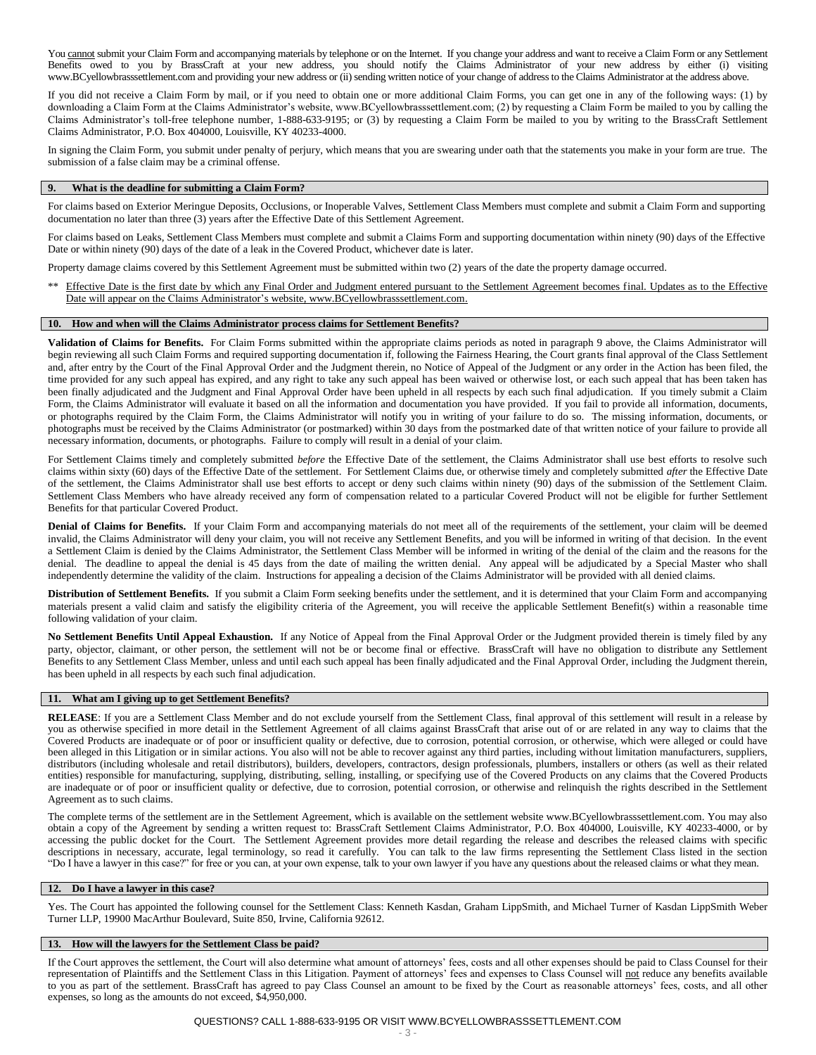You cannot submit your Claim Form and accompanying materials by telephone or on the Internet. If you change your address and want to receive a Claim Form or any Settlement Benefits owed to you by BrassCraft at your new address, you should notify the Claims Administrator of your new address by either (i) visiting www.BCyellowbrasssettlement.com and providing your new address or (ii) sending written notice of your change of address to the Claims Administrator at the address above.

If you did not receive a Claim Form by mail, or if you need to obtain one or more additional Claim Forms, you can get one in any of the following ways: (1) by downloading a Claim Form at the Claims Administrator's website, www.BCyellowbrasssettlement.com; (2) by requesting a Claim Form be mailed to you by calling the Claims Administrator's toll-free telephone number, 1-888-633-9195; or (3) by requesting a Claim Form be mailed to you by writing to the BrassCraft Settlement Claims Administrator, P.O. Box 404000, Louisville, KY 40233-4000.

In signing the Claim Form, you submit under penalty of perjury, which means that you are swearing under oath that the statements you make in your form are true. The submission of a false claim may be a criminal offense.

#### **9. What is the deadline for submitting a Claim Form?**

For claims based on Exterior Meringue Deposits, Occlusions, or Inoperable Valves, Settlement Class Members must complete and submit a Claim Form and supporting documentation no later than three (3) years after the Effective Date of this Settlement Agreement.

For claims based on Leaks, Settlement Class Members must complete and submit a Claims Form and supporting documentation within ninety (90) days of the Effective Date or within ninety (90) days of the date of a leak in the Covered Product, whichever date is later.

Property damage claims covered by this Settlement Agreement must be submitted within two (2) years of the date the property damage occurred.

Effective Date is the first date by which any Final Order and Judgment entered pursuant to the Settlement Agreement becomes final. Updates as to the Effective Date will appear on the Claims Administrator's website[, www.BCyellowbrasssettlement.com.](http://www.bcyellowbrasssettlement.com/) 

## **10. How and when will the Claims Administrator process claims for Settlement Benefits?**

**Validation of Claims for Benefits.** For Claim Forms submitted within the appropriate claims periods as noted in paragraph 9 above, the Claims Administrator will begin reviewing all such Claim Forms and required supporting documentation if, following the Fairness Hearing, the Court grants final approval of the Class Settlement and, after entry by the Court of the Final Approval Order and the Judgment therein, no Notice of Appeal of the Judgment or any order in the Action has been filed, the time provided for any such appeal has expired, and any right to take any such appeal has been waived or otherwise lost, or each such appeal that has been taken has been finally adjudicated and the Judgment and Final Approval Order have been upheld in all respects by each such final adjudication. If you timely submit a Claim Form, the Claims Administrator will evaluate it based on all the information and documentation you have provided. If you fail to provide all information, documents, or photographs required by the Claim Form, the Claims Administrator will notify you in writing of your failure to do so. The missing information, documents, or photographs must be received by the Claims Administrator (or postmarked) within 30 days from the postmarked date of that written notice of your failure to provide all necessary information, documents, or photographs. Failure to comply will result in a denial of your claim.

For Settlement Claims timely and completely submitted *before* the Effective Date of the settlement, the Claims Administrator shall use best efforts to resolve such claims within sixty (60) days of the Effective Date of the settlement. For Settlement Claims due, or otherwise timely and completely submitted *after* the Effective Date of the settlement, the Claims Administrator shall use best efforts to accept or deny such claims within ninety (90) days of the submission of the Settlement Claim. Settlement Class Members who have already received any form of compensation related to a particular Covered Product will not be eligible for further Settlement Benefits for that particular Covered Product.

**Denial of Claims for Benefits.** If your Claim Form and accompanying materials do not meet all of the requirements of the settlement, your claim will be deemed invalid, the Claims Administrator will deny your claim, you will not receive any Settlement Benefits, and you will be informed in writing of that decision. In the event a Settlement Claim is denied by the Claims Administrator, the Settlement Class Member will be informed in writing of the denial of the claim and the reasons for the denial. The deadline to appeal the denial is 45 days from the date of mailing the written denial. Any appeal will be adjudicated by a Special Master who shall independently determine the validity of the claim. Instructions for appealing a decision of the Claims Administrator will be provided with all denied claims.

**Distribution of Settlement Benefits.** If you submit a Claim Form seeking benefits under the settlement, and it is determined that your Claim Form and accompanying materials present a valid claim and satisfy the eligibility criteria of the Agreement, you will receive the applicable Settlement Benefit(s) within a reasonable time following validation of your claim.

**No Settlement Benefits Until Appeal Exhaustion.** If any Notice of Appeal from the Final Approval Order or the Judgment provided therein is timely filed by any party, objector, claimant, or other person, the settlement will not be or become final or effective. BrassCraft will have no obligation to distribute any Settlement Benefits to any Settlement Class Member, unless and until each such appeal has been finally adjudicated and the Final Approval Order, including the Judgment therein, has been upheld in all respects by each such final adjudication.

#### **11. What am I giving up to get Settlement Benefits?**

**RELEASE**: If you are a Settlement Class Member and do not exclude yourself from the Settlement Class, final approval of this settlement will result in a release by you as otherwise specified in more detail in the Settlement Agreement of all claims against BrassCraft that arise out of or are related in any way to claims that the Covered Products are inadequate or of poor or insufficient quality or defective, due to corrosion, potential corrosion, or otherwise, which were alleged or could have been alleged in this Litigation or in similar actions. You also will not be able to recover against any third parties, including without limitation manufacturers, suppliers, distributors (including wholesale and retail distributors), builders, developers, contractors, design professionals, plumbers, installers or others (as well as their related entities) responsible for manufacturing, supplying, distributing, selling, installing, or specifying use of the Covered Products on any claims that the Covered Products are inadequate or of poor or insufficient quality or defective, due to corrosion, potential corrosion, or otherwise and relinquish the rights described in the Settlement Agreement as to such claims.

The complete terms of the settlement are in the Settlement Agreement, which is available on the settlement website www.BCyellowbrasssettlement.com. You may also obtain a copy of the Agreement by sending a written request to: BrassCraft Settlement Claims Administrator, P.O. Box 404000, Louisville, KY 40233-4000, or by accessing the public docket for the Court. The Settlement Agreement provides more detail regarding the release and describes the released claims with specific descriptions in necessary, accurate, legal terminology, so read it carefully. You can talk to the law firms representing the Settlement Class listed in the section "Do I have a lawyer in this case?" for free or you can, at your own expense, talk to your own lawyer if you have any questions about the released claims or what they mean.

#### **12. Do I have a lawyer in this case?**

Yes. The Court has appointed the following counsel for the Settlement Class: Kenneth Kasdan, Graham LippSmith, and Michael Turner of Kasdan LippSmith Weber Turner LLP, 19900 MacArthur Boulevard, Suite 850, Irvine, California 92612.

## **13. How will the lawyers for the Settlement Class be paid?**

If the Court approves the settlement, the Court will also determine what amount of attorneys' fees, costs and all other expenses should be paid to Class Counsel for their representation of Plaintiffs and the Settlement Class in this Litigation. Payment of attorneys' fees and expenses to Class Counsel will not reduce any benefits available to you as part of the settlement. BrassCraft has agreed to pay Class Counsel an amount to be fixed by the Court as reasonable attorneys' fees, costs, and all other expenses, so long as the amounts do not exceed, \$4,950,000.